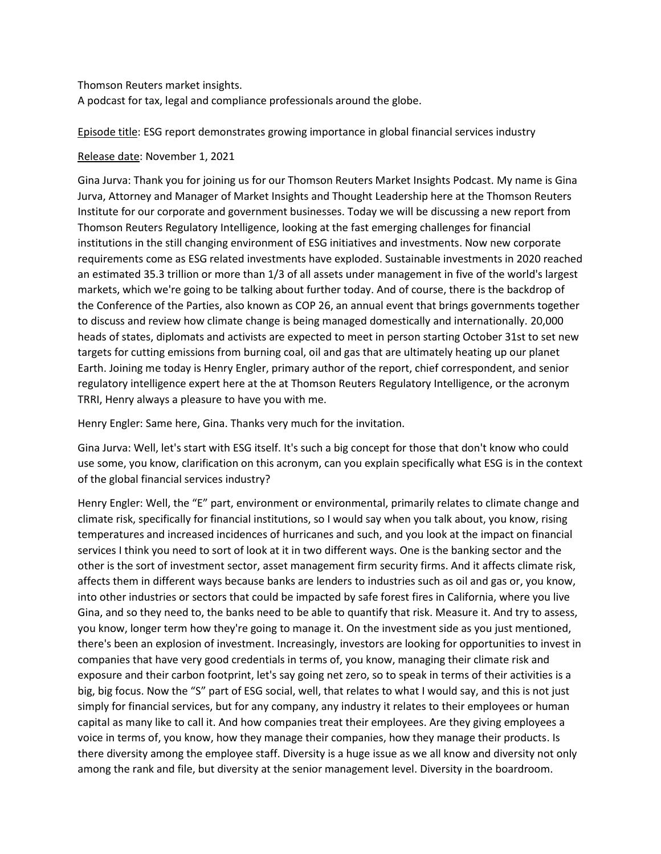Thomson Reuters market insights.

A podcast for tax, legal and compliance professionals around the globe.

Episode title: ESG report demonstrates growing importance in global financial services industry

## Release date: November 1, 2021

Gina Jurva: Thank you for joining us for our Thomson Reuters Market Insights Podcast. My name is Gina Jurva, Attorney and Manager of Market Insights and Thought Leadership here at the Thomson Reuters Institute for our corporate and government businesses. Today we will be discussing a new report from Thomson Reuters Regulatory Intelligence, looking at the fast emerging challenges for financial institutions in the still changing environment of ESG initiatives and investments. Now new corporate requirements come as ESG related investments have exploded. Sustainable investments in 2020 reached an estimated 35.3 trillion or more than 1/3 of all assets under management in five of the world's largest markets, which we're going to be talking about further today. And of course, there is the backdrop of the Conference of the Parties, also known as COP 26, an annual event that brings governments together to discuss and review how climate change is being managed domestically and internationally. 20,000 heads of states, diplomats and activists are expected to meet in person starting October 31st to set new targets for cutting emissions from burning coal, oil and gas that are ultimately heating up our planet Earth. Joining me today is Henry Engler, primary author of the report, chief correspondent, and senior regulatory intelligence expert here at the at Thomson Reuters Regulatory Intelligence, or the acronym TRRI, Henry always a pleasure to have you with me.

Henry Engler: Same here, Gina. Thanks very much for the invitation.

Gina Jurva: Well, let's start with ESG itself. It's such a big concept for those that don't know who could use some, you know, clarification on this acronym, can you explain specifically what ESG is in the context of the global financial services industry?

Henry Engler: Well, the "E" part, environment or environmental, primarily relates to climate change and climate risk, specifically for financial institutions, so I would say when you talk about, you know, rising temperatures and increased incidences of hurricanes and such, and you look at the impact on financial services I think you need to sort of look at it in two different ways. One is the banking sector and the other is the sort of investment sector, asset management firm security firms. And it affects climate risk, affects them in different ways because banks are lenders to industries such as oil and gas or, you know, into other industries or sectors that could be impacted by safe forest fires in California, where you live Gina, and so they need to, the banks need to be able to quantify that risk. Measure it. And try to assess, you know, longer term how they're going to manage it. On the investment side as you just mentioned, there's been an explosion of investment. Increasingly, investors are looking for opportunities to invest in companies that have very good credentials in terms of, you know, managing their climate risk and exposure and their carbon footprint, let's say going net zero, so to speak in terms of their activities is a big, big focus. Now the "S" part of ESG social, well, that relates to what I would say, and this is not just simply for financial services, but for any company, any industry it relates to their employees or human capital as many like to call it. And how companies treat their employees. Are they giving employees a voice in terms of, you know, how they manage their companies, how they manage their products. Is there diversity among the employee staff. Diversity is a huge issue as we all know and diversity not only among the rank and file, but diversity at the senior management level. Diversity in the boardroom.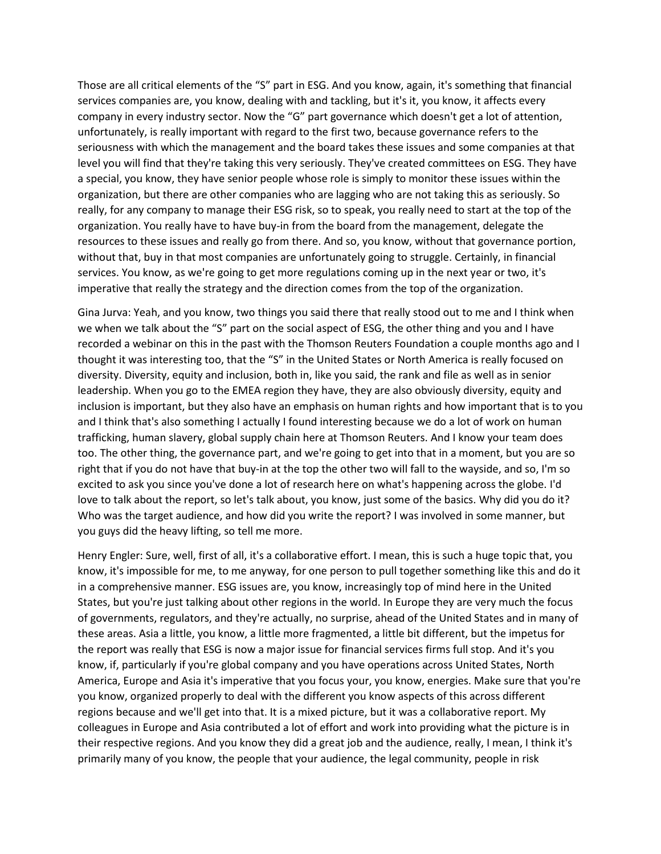Those are all critical elements of the "S" part in ESG. And you know, again, it's something that financial services companies are, you know, dealing with and tackling, but it's it, you know, it affects every company in every industry sector. Now the "G" part governance which doesn't get a lot of attention, unfortunately, is really important with regard to the first two, because governance refers to the seriousness with which the management and the board takes these issues and some companies at that level you will find that they're taking this very seriously. They've created committees on ESG. They have a special, you know, they have senior people whose role is simply to monitor these issues within the organization, but there are other companies who are lagging who are not taking this as seriously. So really, for any company to manage their ESG risk, so to speak, you really need to start at the top of the organization. You really have to have buy-in from the board from the management, delegate the resources to these issues and really go from there. And so, you know, without that governance portion, without that, buy in that most companies are unfortunately going to struggle. Certainly, in financial services. You know, as we're going to get more regulations coming up in the next year or two, it's imperative that really the strategy and the direction comes from the top of the organization.

Gina Jurva: Yeah, and you know, two things you said there that really stood out to me and I think when we when we talk about the "S" part on the social aspect of ESG, the other thing and you and I have recorded a webinar on this in the past with the Thomson Reuters Foundation a couple months ago and I thought it was interesting too, that the "S" in the United States or North America is really focused on diversity. Diversity, equity and inclusion, both in, like you said, the rank and file as well as in senior leadership. When you go to the EMEA region they have, they are also obviously diversity, equity and inclusion is important, but they also have an emphasis on human rights and how important that is to you and I think that's also something I actually I found interesting because we do a lot of work on human trafficking, human slavery, global supply chain here at Thomson Reuters. And I know your team does too. The other thing, the governance part, and we're going to get into that in a moment, but you are so right that if you do not have that buy-in at the top the other two will fall to the wayside, and so, I'm so excited to ask you since you've done a lot of research here on what's happening across the globe. I'd love to talk about the report, so let's talk about, you know, just some of the basics. Why did you do it? Who was the target audience, and how did you write the report? I was involved in some manner, but you guys did the heavy lifting, so tell me more.

Henry Engler: Sure, well, first of all, it's a collaborative effort. I mean, this is such a huge topic that, you know, it's impossible for me, to me anyway, for one person to pull together something like this and do it in a comprehensive manner. ESG issues are, you know, increasingly top of mind here in the United States, but you're just talking about other regions in the world. In Europe they are very much the focus of governments, regulators, and they're actually, no surprise, ahead of the United States and in many of these areas. Asia a little, you know, a little more fragmented, a little bit different, but the impetus for the report was really that ESG is now a major issue for financial services firms full stop. And it's you know, if, particularly if you're global company and you have operations across United States, North America, Europe and Asia it's imperative that you focus your, you know, energies. Make sure that you're you know, organized properly to deal with the different you know aspects of this across different regions because and we'll get into that. It is a mixed picture, but it was a collaborative report. My colleagues in Europe and Asia contributed a lot of effort and work into providing what the picture is in their respective regions. And you know they did a great job and the audience, really, I mean, I think it's primarily many of you know, the people that your audience, the legal community, people in risk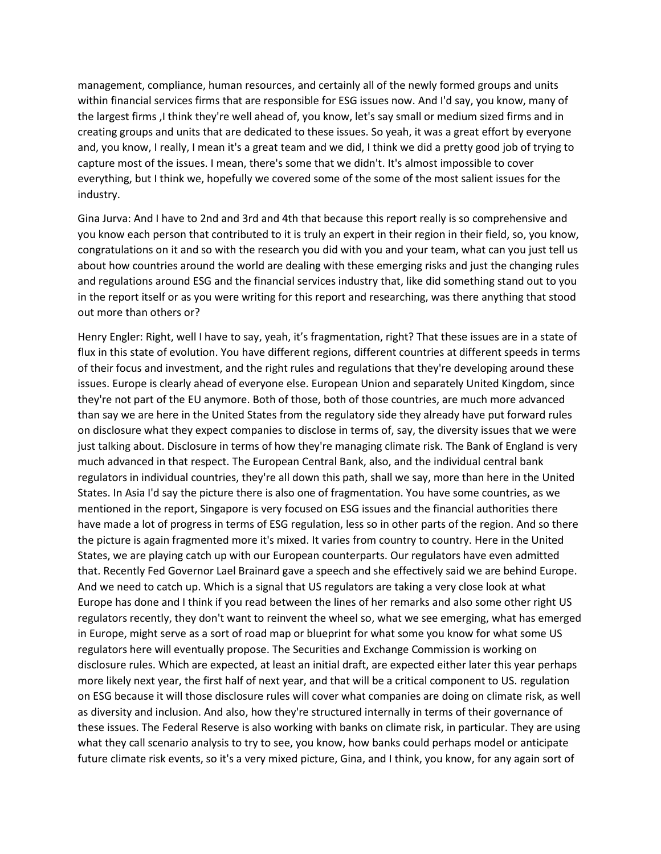management, compliance, human resources, and certainly all of the newly formed groups and units within financial services firms that are responsible for ESG issues now. And I'd say, you know, many of the largest firms ,I think they're well ahead of, you know, let's say small or medium sized firms and in creating groups and units that are dedicated to these issues. So yeah, it was a great effort by everyone and, you know, I really, I mean it's a great team and we did, I think we did a pretty good job of trying to capture most of the issues. I mean, there's some that we didn't. It's almost impossible to cover everything, but I think we, hopefully we covered some of the some of the most salient issues for the industry.

Gina Jurva: And I have to 2nd and 3rd and 4th that because this report really is so comprehensive and you know each person that contributed to it is truly an expert in their region in their field, so, you know, congratulations on it and so with the research you did with you and your team, what can you just tell us about how countries around the world are dealing with these emerging risks and just the changing rules and regulations around ESG and the financial services industry that, like did something stand out to you in the report itself or as you were writing for this report and researching, was there anything that stood out more than others or?

Henry Engler: Right, well I have to say, yeah, it's fragmentation, right? That these issues are in a state of flux in this state of evolution. You have different regions, different countries at different speeds in terms of their focus and investment, and the right rules and regulations that they're developing around these issues. Europe is clearly ahead of everyone else. European Union and separately United Kingdom, since they're not part of the EU anymore. Both of those, both of those countries, are much more advanced than say we are here in the United States from the regulatory side they already have put forward rules on disclosure what they expect companies to disclose in terms of, say, the diversity issues that we were just talking about. Disclosure in terms of how they're managing climate risk. The Bank of England is very much advanced in that respect. The European Central Bank, also, and the individual central bank regulators in individual countries, they're all down this path, shall we say, more than here in the United States. In Asia I'd say the picture there is also one of fragmentation. You have some countries, as we mentioned in the report, Singapore is very focused on ESG issues and the financial authorities there have made a lot of progress in terms of ESG regulation, less so in other parts of the region. And so there the picture is again fragmented more it's mixed. It varies from country to country. Here in the United States, we are playing catch up with our European counterparts. Our regulators have even admitted that. Recently Fed Governor Lael Brainard gave a speech and she effectively said we are behind Europe. And we need to catch up. Which is a signal that US regulators are taking a very close look at what Europe has done and I think if you read between the lines of her remarks and also some other right US regulators recently, they don't want to reinvent the wheel so, what we see emerging, what has emerged in Europe, might serve as a sort of road map or blueprint for what some you know for what some US regulators here will eventually propose. The Securities and Exchange Commission is working on disclosure rules. Which are expected, at least an initial draft, are expected either later this year perhaps more likely next year, the first half of next year, and that will be a critical component to US. regulation on ESG because it will those disclosure rules will cover what companies are doing on climate risk, as well as diversity and inclusion. And also, how they're structured internally in terms of their governance of these issues. The Federal Reserve is also working with banks on climate risk, in particular. They are using what they call scenario analysis to try to see, you know, how banks could perhaps model or anticipate future climate risk events, so it's a very mixed picture, Gina, and I think, you know, for any again sort of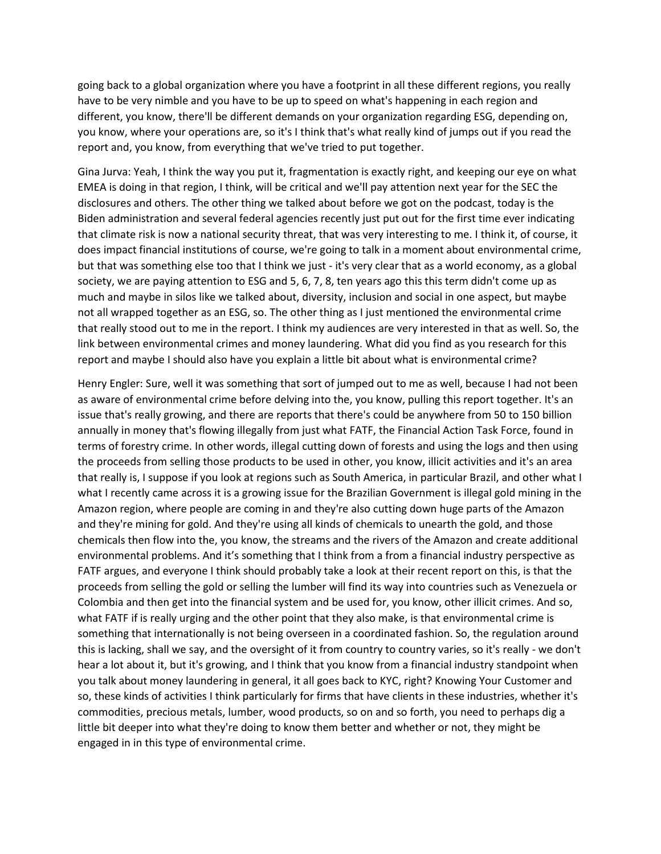going back to a global organization where you have a footprint in all these different regions, you really have to be very nimble and you have to be up to speed on what's happening in each region and different, you know, there'll be different demands on your organization regarding ESG, depending on, you know, where your operations are, so it's I think that's what really kind of jumps out if you read the report and, you know, from everything that we've tried to put together.

Gina Jurva: Yeah, I think the way you put it, fragmentation is exactly right, and keeping our eye on what EMEA is doing in that region, I think, will be critical and we'll pay attention next year for the SEC the disclosures and others. The other thing we talked about before we got on the podcast, today is the Biden administration and several federal agencies recently just put out for the first time ever indicating that climate risk is now a national security threat, that was very interesting to me. I think it, of course, it does impact financial institutions of course, we're going to talk in a moment about environmental crime, but that was something else too that I think we just - it's very clear that as a world economy, as a global society, we are paying attention to ESG and 5, 6, 7, 8, ten years ago this this term didn't come up as much and maybe in silos like we talked about, diversity, inclusion and social in one aspect, but maybe not all wrapped together as an ESG, so. The other thing as I just mentioned the environmental crime that really stood out to me in the report. I think my audiences are very interested in that as well. So, the link between environmental crimes and money laundering. What did you find as you research for this report and maybe I should also have you explain a little bit about what is environmental crime?

Henry Engler: Sure, well it was something that sort of jumped out to me as well, because I had not been as aware of environmental crime before delving into the, you know, pulling this report together. It's an issue that's really growing, and there are reports that there's could be anywhere from 50 to 150 billion annually in money that's flowing illegally from just what FATF, the Financial Action Task Force, found in terms of forestry crime. In other words, illegal cutting down of forests and using the logs and then using the proceeds from selling those products to be used in other, you know, illicit activities and it's an area that really is, I suppose if you look at regions such as South America, in particular Brazil, and other what I what I recently came across it is a growing issue for the Brazilian Government is illegal gold mining in the Amazon region, where people are coming in and they're also cutting down huge parts of the Amazon and they're mining for gold. And they're using all kinds of chemicals to unearth the gold, and those chemicals then flow into the, you know, the streams and the rivers of the Amazon and create additional environmental problems. And it's something that I think from a from a financial industry perspective as FATF argues, and everyone I think should probably take a look at their recent report on this, is that the proceeds from selling the gold or selling the lumber will find its way into countries such as Venezuela or Colombia and then get into the financial system and be used for, you know, other illicit crimes. And so, what FATF if is really urging and the other point that they also make, is that environmental crime is something that internationally is not being overseen in a coordinated fashion. So, the regulation around this is lacking, shall we say, and the oversight of it from country to country varies, so it's really - we don't hear a lot about it, but it's growing, and I think that you know from a financial industry standpoint when you talk about money laundering in general, it all goes back to KYC, right? Knowing Your Customer and so, these kinds of activities I think particularly for firms that have clients in these industries, whether it's commodities, precious metals, lumber, wood products, so on and so forth, you need to perhaps dig a little bit deeper into what they're doing to know them better and whether or not, they might be engaged in in this type of environmental crime.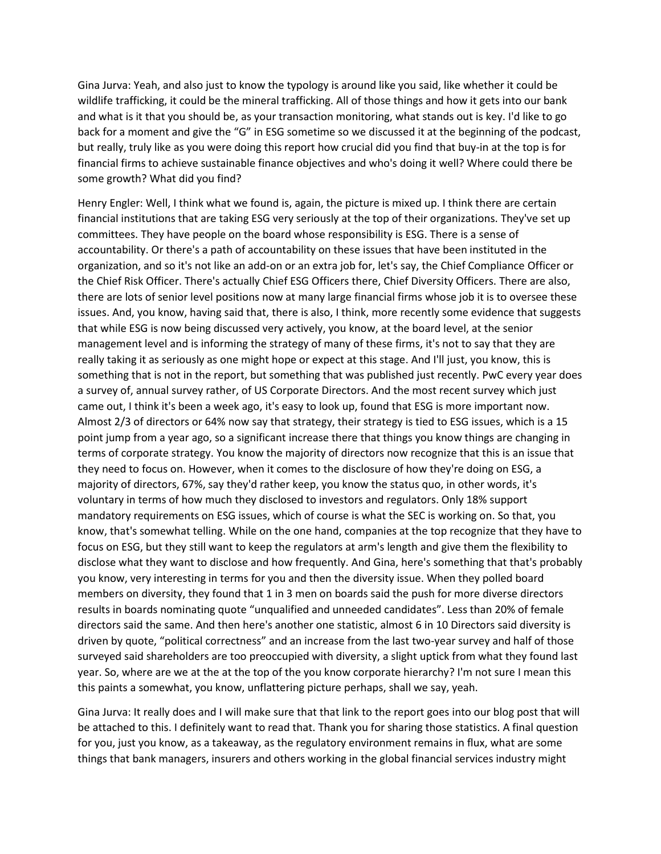Gina Jurva: Yeah, and also just to know the typology is around like you said, like whether it could be wildlife trafficking, it could be the mineral trafficking. All of those things and how it gets into our bank and what is it that you should be, as your transaction monitoring, what stands out is key. I'd like to go back for a moment and give the "G" in ESG sometime so we discussed it at the beginning of the podcast, but really, truly like as you were doing this report how crucial did you find that buy-in at the top is for financial firms to achieve sustainable finance objectives and who's doing it well? Where could there be some growth? What did you find?

Henry Engler: Well, I think what we found is, again, the picture is mixed up. I think there are certain financial institutions that are taking ESG very seriously at the top of their organizations. They've set up committees. They have people on the board whose responsibility is ESG. There is a sense of accountability. Or there's a path of accountability on these issues that have been instituted in the organization, and so it's not like an add-on or an extra job for, let's say, the Chief Compliance Officer or the Chief Risk Officer. There's actually Chief ESG Officers there, Chief Diversity Officers. There are also, there are lots of senior level positions now at many large financial firms whose job it is to oversee these issues. And, you know, having said that, there is also, I think, more recently some evidence that suggests that while ESG is now being discussed very actively, you know, at the board level, at the senior management level and is informing the strategy of many of these firms, it's not to say that they are really taking it as seriously as one might hope or expect at this stage. And I'll just, you know, this is something that is not in the report, but something that was published just recently. PwC every year does a survey of, annual survey rather, of US Corporate Directors. And the most recent survey which just came out, I think it's been a week ago, it's easy to look up, found that ESG is more important now. Almost 2/3 of directors or 64% now say that strategy, their strategy is tied to ESG issues, which is a 15 point jump from a year ago, so a significant increase there that things you know things are changing in terms of corporate strategy. You know the majority of directors now recognize that this is an issue that they need to focus on. However, when it comes to the disclosure of how they're doing on ESG, a majority of directors, 67%, say they'd rather keep, you know the status quo, in other words, it's voluntary in terms of how much they disclosed to investors and regulators. Only 18% support mandatory requirements on ESG issues, which of course is what the SEC is working on. So that, you know, that's somewhat telling. While on the one hand, companies at the top recognize that they have to focus on ESG, but they still want to keep the regulators at arm's length and give them the flexibility to disclose what they want to disclose and how frequently. And Gina, here's something that that's probably you know, very interesting in terms for you and then the diversity issue. When they polled board members on diversity, they found that 1 in 3 men on boards said the push for more diverse directors results in boards nominating quote "unqualified and unneeded candidates". Less than 20% of female directors said the same. And then here's another one statistic, almost 6 in 10 Directors said diversity is driven by quote, "political correctness" and an increase from the last two-year survey and half of those surveyed said shareholders are too preoccupied with diversity, a slight uptick from what they found last year. So, where are we at the at the top of the you know corporate hierarchy? I'm not sure I mean this this paints a somewhat, you know, unflattering picture perhaps, shall we say, yeah.

Gina Jurva: It really does and I will make sure that that link to the report goes into our blog post that will be attached to this. I definitely want to read that. Thank you for sharing those statistics. A final question for you, just you know, as a takeaway, as the regulatory environment remains in flux, what are some things that bank managers, insurers and others working in the global financial services industry might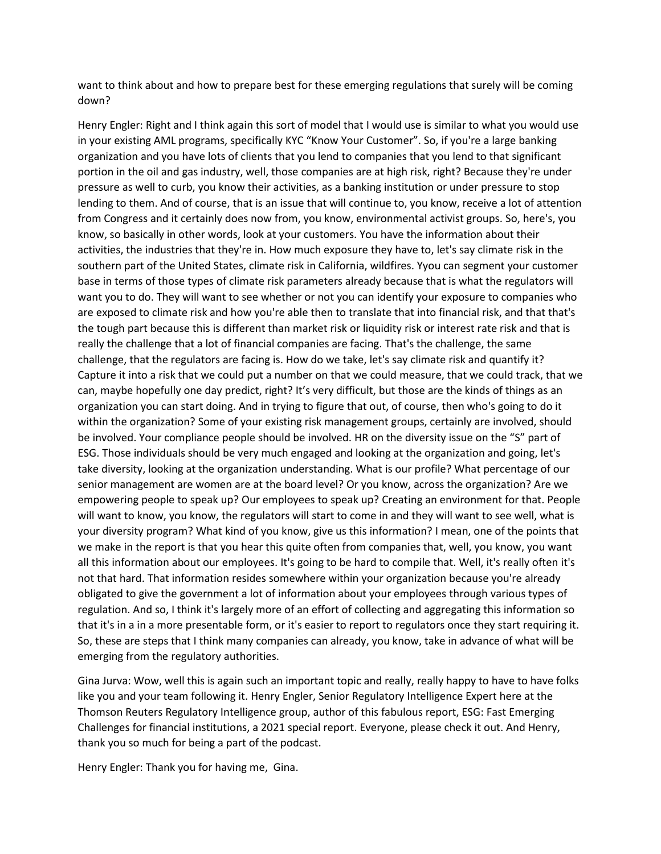want to think about and how to prepare best for these emerging regulations that surely will be coming down?

Henry Engler: Right and I think again this sort of model that I would use is similar to what you would use in your existing AML programs, specifically KYC "Know Your Customer". So, if you're a large banking organization and you have lots of clients that you lend to companies that you lend to that significant portion in the oil and gas industry, well, those companies are at high risk, right? Because they're under pressure as well to curb, you know their activities, as a banking institution or under pressure to stop lending to them. And of course, that is an issue that will continue to, you know, receive a lot of attention from Congress and it certainly does now from, you know, environmental activist groups. So, here's, you know, so basically in other words, look at your customers. You have the information about their activities, the industries that they're in. How much exposure they have to, let's say climate risk in the southern part of the United States, climate risk in California, wildfires. Yyou can segment your customer base in terms of those types of climate risk parameters already because that is what the regulators will want you to do. They will want to see whether or not you can identify your exposure to companies who are exposed to climate risk and how you're able then to translate that into financial risk, and that that's the tough part because this is different than market risk or liquidity risk or interest rate risk and that is really the challenge that a lot of financial companies are facing. That's the challenge, the same challenge, that the regulators are facing is. How do we take, let's say climate risk and quantify it? Capture it into a risk that we could put a number on that we could measure, that we could track, that we can, maybe hopefully one day predict, right? It's very difficult, but those are the kinds of things as an organization you can start doing. And in trying to figure that out, of course, then who's going to do it within the organization? Some of your existing risk management groups, certainly are involved, should be involved. Your compliance people should be involved. HR on the diversity issue on the "S" part of ESG. Those individuals should be very much engaged and looking at the organization and going, let's take diversity, looking at the organization understanding. What is our profile? What percentage of our senior management are women are at the board level? Or you know, across the organization? Are we empowering people to speak up? Our employees to speak up? Creating an environment for that. People will want to know, you know, the regulators will start to come in and they will want to see well, what is your diversity program? What kind of you know, give us this information? I mean, one of the points that we make in the report is that you hear this quite often from companies that, well, you know, you want all this information about our employees. It's going to be hard to compile that. Well, it's really often it's not that hard. That information resides somewhere within your organization because you're already obligated to give the government a lot of information about your employees through various types of regulation. And so, I think it's largely more of an effort of collecting and aggregating this information so that it's in a in a more presentable form, or it's easier to report to regulators once they start requiring it. So, these are steps that I think many companies can already, you know, take in advance of what will be emerging from the regulatory authorities.

Gina Jurva: Wow, well this is again such an important topic and really, really happy to have to have folks like you and your team following it. Henry Engler, Senior Regulatory Intelligence Expert here at the Thomson Reuters Regulatory Intelligence group, author of this fabulous report, ESG: Fast Emerging Challenges for financial institutions, a 2021 special report. Everyone, please check it out. And Henry, thank you so much for being a part of the podcast.

Henry Engler: Thank you for having me, Gina.